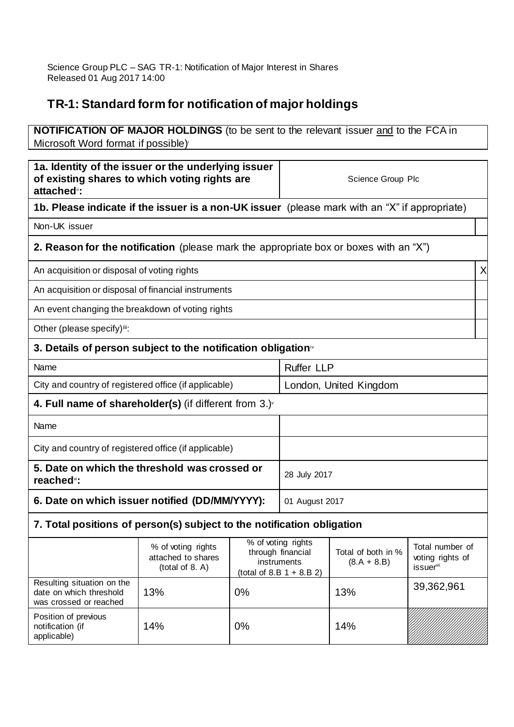## **TR-1: Standard form for notification of major holdings**

| <b>NOTIFICATION OF MAJOR HOLDINGS</b> (to be sent to the relevant issuer and to the FCA in<br>Microsoft Word format if possible) |                                                             |                |                                                                                       |                                     |                                                              |
|----------------------------------------------------------------------------------------------------------------------------------|-------------------------------------------------------------|----------------|---------------------------------------------------------------------------------------|-------------------------------------|--------------------------------------------------------------|
| 1a. Identity of the issuer or the underlying issuer<br>of existing shares to which voting rights are<br>attached":               |                                                             |                | Science Group Plc                                                                     |                                     |                                                              |
| 1b. Please indicate if the issuer is a non-UK issuer (please mark with an "X" if appropriate)                                    |                                                             |                |                                                                                       |                                     |                                                              |
| Non-UK issuer                                                                                                                    |                                                             |                |                                                                                       |                                     |                                                              |
| 2. Reason for the notification (please mark the appropriate box or boxes with an "X")                                            |                                                             |                |                                                                                       |                                     |                                                              |
| An acquisition or disposal of voting rights                                                                                      |                                                             |                |                                                                                       |                                     | X                                                            |
| An acquisition or disposal of financial instruments                                                                              |                                                             |                |                                                                                       |                                     |                                                              |
| An event changing the breakdown of voting rights                                                                                 |                                                             |                |                                                                                       |                                     |                                                              |
| Other (please specify)iii:                                                                                                       |                                                             |                |                                                                                       |                                     |                                                              |
| 3. Details of person subject to the notification obligation <sup>*</sup>                                                         |                                                             |                |                                                                                       |                                     |                                                              |
| Name                                                                                                                             |                                                             |                | <b>Ruffer LLP</b>                                                                     |                                     |                                                              |
| City and country of registered office (if applicable)                                                                            |                                                             |                | London, United Kingdom                                                                |                                     |                                                              |
| 4. Full name of shareholder(s) (if different from $3.$ ) $\check{ }$                                                             |                                                             |                |                                                                                       |                                     |                                                              |
| Name                                                                                                                             |                                                             |                |                                                                                       |                                     |                                                              |
| City and country of registered office (if applicable)                                                                            |                                                             |                |                                                                                       |                                     |                                                              |
| 5. Date on which the threshold was crossed or<br>reached <sup>*</sup> :                                                          |                                                             |                | 28 July 2017                                                                          |                                     |                                                              |
| 6. Date on which issuer notified (DD/MM/YYYY):                                                                                   |                                                             | 01 August 2017 |                                                                                       |                                     |                                                              |
| 7. Total positions of person(s) subject to the notification obligation                                                           |                                                             |                |                                                                                       |                                     |                                                              |
|                                                                                                                                  | % of voting rights<br>attached to shares<br>(total of 8. A) |                | % of voting rights<br>through financial<br>instruments<br>(total of 8.B $1 + 8.B 2$ ) | Total of both in %<br>$(8.A + 8.B)$ | Total number of<br>voting rights of<br>issuer <sup>vii</sup> |
| Resulting situation on the<br>date on which threshold<br>was crossed or reached                                                  | 13%                                                         | 0%             |                                                                                       | 13%                                 | 39,362,961                                                   |
| Position of previous<br>notification (if<br>applicable)                                                                          | 14%                                                         | 0%             |                                                                                       | 14%                                 |                                                              |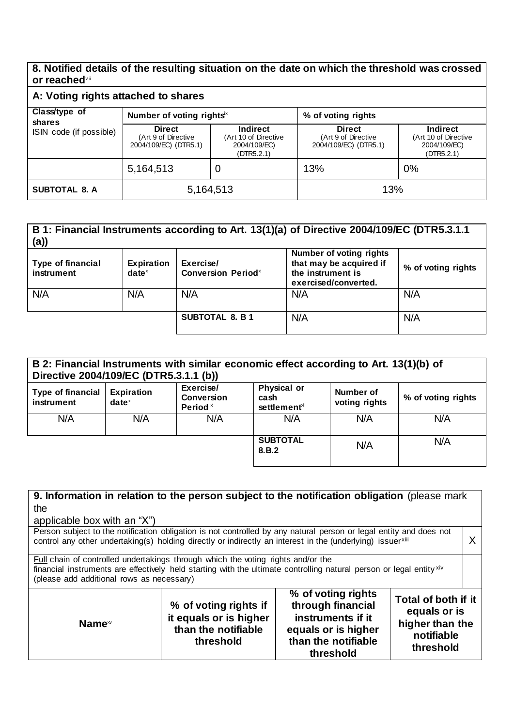## **8. Notified details of the resulting situation on the date on which the threshold was crossed or reached**viii

| A: Voting rights attached to shares |                                                               |                                                                |                                                               |                                                                       |
|-------------------------------------|---------------------------------------------------------------|----------------------------------------------------------------|---------------------------------------------------------------|-----------------------------------------------------------------------|
| Class/type of<br>shares             | Number of voting rights <sup>x</sup>                          |                                                                | % of voting rights                                            |                                                                       |
| ISIN code (if possible)             | <b>Direct</b><br>(Art 9 of Directive<br>2004/109/EC) (DTR5.1) | Indirect<br>(Art 10 of Directive<br>2004/109/EC)<br>(DTR5.2.1) | <b>Direct</b><br>(Art 9 of Directive<br>2004/109/EC) (DTR5.1) | <b>Indirect</b><br>(Art 10 of Directive<br>2004/109/EC)<br>(DTR5.2.1) |
|                                     | 5,164,513                                                     | U                                                              | 13%                                                           | 0%                                                                    |
| <b>SUBTOTAL 8. A</b>                | 5,164,513                                                     |                                                                | 13%                                                           |                                                                       |

## **B 1: Financial Instruments according to Art. 13(1)(a) of Directive 2004/109/EC (DTR5.3.1.1 (a)) Type of financial instrument Expiration date** x **Exercise/ Conversion Period**<sup>xi</sup> **Number of voting rights that may be acquired if the instrument is exercised/converted. % of voting rights**

| N/A | N/A | N/A                    | N/A | N/A |
|-----|-----|------------------------|-----|-----|
|     |     | <b>SUBTOTAL 8. B 1</b> | N/A | N/A |
|     |     |                        |     |     |

| B 2: Financial Instruments with similar economic effect according to Art. 13(1)(b) of<br>Directive 2004/109/EC (DTR5.3.1.1 (b)) |                               |                                                        |                                                         |                            |                    |
|---------------------------------------------------------------------------------------------------------------------------------|-------------------------------|--------------------------------------------------------|---------------------------------------------------------|----------------------------|--------------------|
| Type of financial<br>instrument                                                                                                 | <b>Expiration</b><br>$date^x$ | Exercise/<br><b>Conversion</b><br>Period <sup>xi</sup> | <b>Physical or</b><br>cash<br>settlement <sup>xii</sup> | Number of<br>voting rights | % of voting rights |
| N/A                                                                                                                             | N/A                           | N/A                                                    | N/A                                                     | N/A                        | N/A                |
|                                                                                                                                 |                               |                                                        | <b>SUBTOTAL</b><br>8.B.2                                | N/A                        | N/A                |

| 9. Information in relation to the person subject to the notification obligation (please mark                                                                                                                                                                                                                             |  |  |   |  |
|--------------------------------------------------------------------------------------------------------------------------------------------------------------------------------------------------------------------------------------------------------------------------------------------------------------------------|--|--|---|--|
| the                                                                                                                                                                                                                                                                                                                      |  |  |   |  |
| applicable box with an "X")                                                                                                                                                                                                                                                                                              |  |  |   |  |
| Person subject to the notification obligation is not controlled by any natural person or legal entity and does not<br>control any other undertaking(s) holding directly or indirectly an interest in the (underlying) issuerxili                                                                                         |  |  | Χ |  |
| <b>Full chain of controlled undertakings through which the voting rights and/or the</b><br>financial instruments are effectively held starting with the ultimate controlling natural person or legal entity xiv<br>(please add additional rows as necessary)                                                             |  |  |   |  |
| % of voting rights<br>Total of both if it<br>through financial<br>% of voting rights if<br>equals or is<br>it equals or is higher<br>instruments if it<br>higher than the<br>Name <sup>∞</sup><br>than the notifiable<br>equals or is higher<br>notifiable<br>than the notifiable<br>threshold<br>threshold<br>threshold |  |  |   |  |